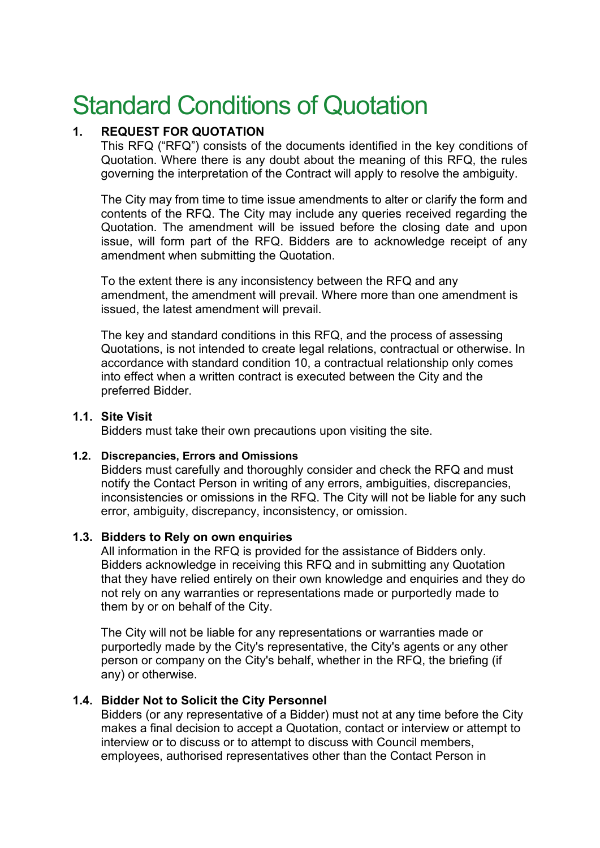# Standard Conditions of Quotation

# **1. REQUEST FOR QUOTATION**

This RFQ ("RFQ") consists of the documents identified in the key conditions of Quotation. Where there is any doubt about the meaning of this RFQ, the rules governing the interpretation of the Contract will apply to resolve the ambiguity.

The City may from time to time issue amendments to alter or clarify the form and contents of the RFQ. The City may include any queries received regarding the Quotation. The amendment will be issued before the closing date and upon issue, will form part of the RFQ. Bidders are to acknowledge receipt of any amendment when submitting the Quotation.

To the extent there is any inconsistency between the RFQ and any amendment, the amendment will prevail. Where more than one amendment is issued, the latest amendment will prevail.

The key and standard conditions in this RFQ, and the process of assessing Quotations, is not intended to create legal relations, contractual or otherwise. In accordance with standard condition 10, a contractual relationship only comes into effect when a written contract is executed between the City and the preferred Bidder.

## **1.1. Site Visit**

Bidders must take their own precautions upon visiting the site.

#### **1.2. Discrepancies, Errors and Omissions**

Bidders must carefully and thoroughly consider and check the RFQ and must notify the Contact Person in writing of any errors, ambiguities, discrepancies, inconsistencies or omissions in the RFQ. The City will not be liable for any such error, ambiguity, discrepancy, inconsistency, or omission.

#### **1.3. Bidders to Rely on own enquiries**

All information in the RFQ is provided for the assistance of Bidders only. Bidders acknowledge in receiving this RFQ and in submitting any Quotation that they have relied entirely on their own knowledge and enquiries and they do not rely on any warranties or representations made or purportedly made to them by or on behalf of the City.

The City will not be liable for any representations or warranties made or purportedly made by the City's representative, the City's agents or any other person or company on the City's behalf, whether in the RFQ, the briefing (if any) or otherwise.

#### **1.4. Bidder Not to Solicit the City Personnel**

Bidders (or any representative of a Bidder) must not at any time before the City makes a final decision to accept a Quotation, contact or interview or attempt to interview or to discuss or to attempt to discuss with Council members, employees, authorised representatives other than the Contact Person in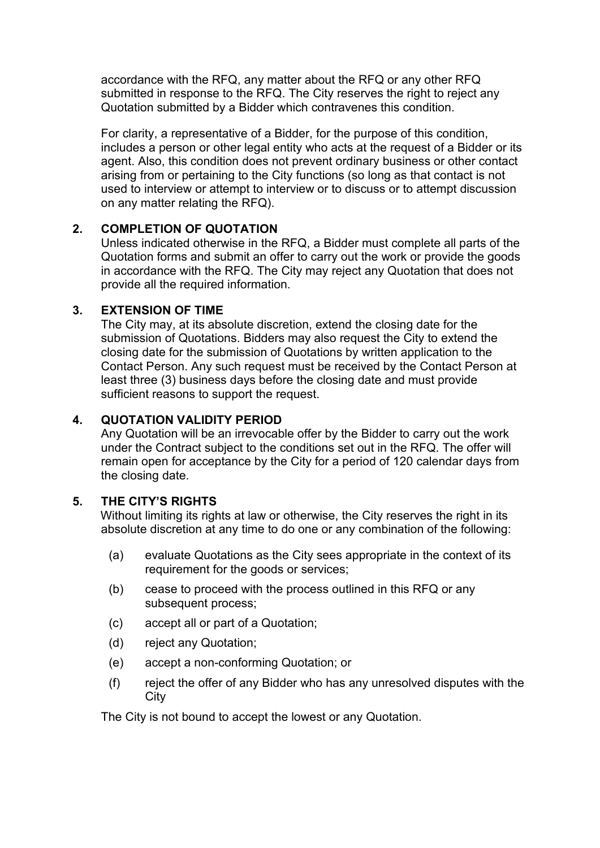accordance with the RFQ, any matter about the RFQ or any other RFQ submitted in response to the RFQ. The City reserves the right to reject any Quotation submitted by a Bidder which contravenes this condition.

For clarity, a representative of a Bidder, for the purpose of this condition, includes a person or other legal entity who acts at the request of a Bidder or its agent. Also, this condition does not prevent ordinary business or other contact arising from or pertaining to the City functions (so long as that contact is not used to interview or attempt to interview or to discuss or to attempt discussion on any matter relating the RFQ).

## **2. COMPLETION OF QUOTATION**

Unless indicated otherwise in the RFQ, a Bidder must complete all parts of the Quotation forms and submit an offer to carry out the work or provide the goods in accordance with the RFQ. The City may reject any Quotation that does not provide all the required information.

## **3. EXTENSION OF TIME**

The City may, at its absolute discretion, extend the closing date for the submission of Quotations. Bidders may also request the City to extend the closing date for the submission of Quotations by written application to the Contact Person. Any such request must be received by the Contact Person at least three (3) business days before the closing date and must provide sufficient reasons to support the request.

# **4. QUOTATION VALIDITY PERIOD**

Any Quotation will be an irrevocable offer by the Bidder to carry out the work under the Contract subject to the conditions set out in the RFQ. The offer will remain open for acceptance by the City for a period of 120 calendar days from the closing date.

# **5. THE CITY'S RIGHTS**

Without limiting its rights at law or otherwise, the City reserves the right in its absolute discretion at any time to do one or any combination of the following:

- (a) evaluate Quotations as the City sees appropriate in the context of its requirement for the goods or services;
- (b) cease to proceed with the process outlined in this RFQ or any subsequent process;
- (c) accept all or part of a Quotation;
- (d) reject any Quotation;
- (e) accept a non-conforming Quotation; or
- (f) reject the offer of any Bidder who has any unresolved disputes with the **City**

The City is not bound to accept the lowest or any Quotation.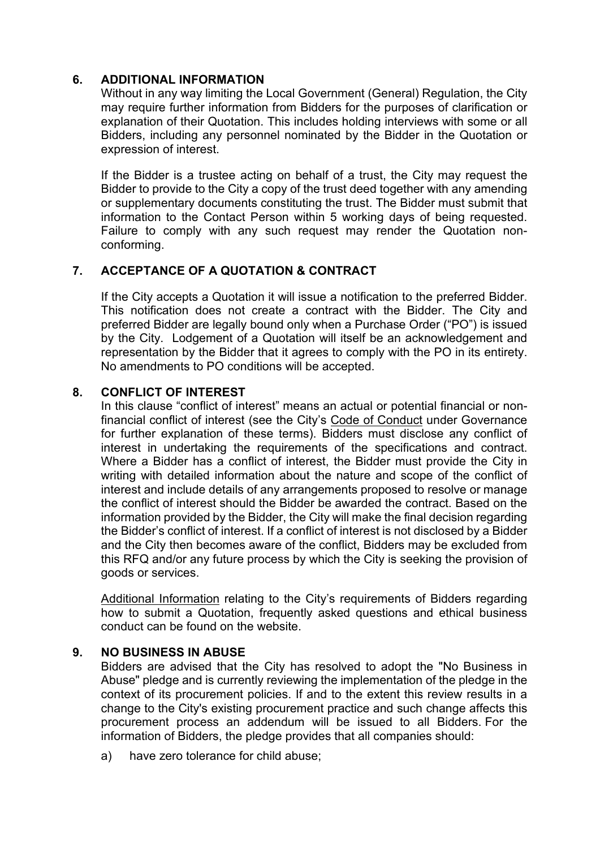## **6. ADDITIONAL INFORMATION**

Without in any way limiting the Local Government (General) Regulation, the City may require further information from Bidders for the purposes of clarification or explanation of their Quotation. This includes holding interviews with some or all Bidders, including any personnel nominated by the Bidder in the Quotation or expression of interest.

If the Bidder is a trustee acting on behalf of a trust, the City may request the Bidder to provide to the City a copy of the trust deed together with any amending or supplementary documents constituting the trust. The Bidder must submit that information to the Contact Person within 5 working days of being requested. Failure to comply with any such request may render the Quotation nonconforming.

# **7. ACCEPTANCE OF A QUOTATION & CONTRACT**

If the City accepts a Quotation it will issue a notification to the preferred Bidder. This notification does not create a contract with the Bidder. The City and preferred Bidder are legally bound only when a Purchase Order ("PO") is issued by the City. Lodgement of a Quotation will itself be an acknowledgement and representation by the Bidder that it agrees to comply with the PO in its entirety. No amendments to PO conditions will be accepted.

## **8. CONFLICT OF INTEREST**

In this clause "conflict of interest" means an actual or potential financial or nonfinancial conflict of interest (see the City's [Code of Conduct](https://www.cityofsydney.nsw.gov.au/policies/code-of-conduct) under Governance for further explanation of these terms). Bidders must disclose any conflict of interest in undertaking the requirements of the specifications and contract. Where a Bidder has a conflict of interest, the Bidder must provide the City in writing with detailed information about the nature and scope of the conflict of interest and include details of any arrangements proposed to resolve or manage the conflict of interest should the Bidder be awarded the contract. Based on the information provided by the Bidder, the City will make the final decision regarding the Bidder's conflict of interest. If a conflict of interest is not disclosed by a Bidder and the City then becomes aware of the conflict, Bidders may be excluded from this RFQ and/or any future process by which the City is seeking the provision of goods or services.

[Additional Information](https://www.cityofsydney.nsw.gov.au/business-permits-approvals-tenders/submit-tender) relating to the City's requirements of Bidders regarding how to submit a Quotation, frequently asked questions and ethical business conduct can be found on the website.

#### **9. NO BUSINESS IN ABUSE**

Bidders are advised that the City has resolved to adopt the "No Business in Abuse" pledge and is currently reviewing the implementation of the pledge in the context of its procurement policies. If and to the extent this review results in a change to the City's existing procurement practice and such change affects this procurement process an addendum will be issued to all Bidders. For the information of Bidders, the pledge provides that all companies should:

a) have zero tolerance for child abuse;